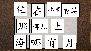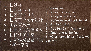1. 他姓马 2. 他叫马本山 3. 他家有六口人 4. 他有三个兄弟姐妹 5. 她没有弟弟 6. 他的父母是英国人 7. 他们住在北京 8. 我家妈妈爸爸和我 / 我一家有

1) tā xìng mǎ 2) tā jiào mǎ běnshān 3) tā jiā yǒu liù kǒu rén 4) tā yǒusān gè xiōngdì jiěmèi 5) tā méiyǒu dìdì 6) tā de fùmǔ shì yīngguó rén 7) tāmen zhù zài běijīng 8) wǒjiā māmā bàba hé wǒ/ wǒ yījiā yǒu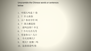Unscramble the Chinese words or sentences below

- 1. 中国人吗是 ?你
- 2. ? 什么姓你
- 3. 么?你名字什 叫
- 4. ? 国人哪是你
- 5. 说吗会你?中文
- 6. ?今天几月几号
- 7. 有家你人?几口
- 8. 今天星期几?
- 9. 明天?星期二吗
- 10. 这弟弟是吗 你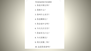**Personal questions Unscrambled** 

- 1. 你是中国人吗?
- 2. 你姓什么?

 $\overline{\phantom{a}}$ 

- 3. 你叫什么名字?
- 4. 你是哪国人?
- 5. 你会说中文吗?
- 6. 今天几月几号?
- 7. 你家有几口人?
- 8. 今天星期几?
- 9. 明天星期二吗?

10. 这是你弟弟吗?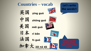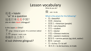## Lesson vocabulary

## What do you do?

还是 = háishì 'or' in a question 这是日本还是中国? zhè shì rìběn háishì zhōngguó?

## Is this Japan or China?

 $\hat{+}$  yáng = sheep (or goat). It's a common radical  $\Gamma$   $\leftarrow$  gōngzuò = work, a job 你做什么工作?

nǐ zuò shénme gōngzuò?

 $\frac{d}{dx}$  zuò = to do

## What is the pinyin for the following?

- $\ddot{\mathbf{\ddot{\equiv}}}$  = beautiful
- $*\mathbb{B}$  = America
- 美国人 = American (people)
- 很美 = very beautiful
- 学生 = student
- $E# =$  doctor
- 中医 = Chinese medicine
- 西医 = western medicine
- 服务员 = service person (eg clerk, waiter)
- $\mathbb{R}$ 务 = servant
- $\mathcal{F}$  = to buy  $\dot{\mathcal{F}}$  = to sell
- 做买卖 = to do business, to trade